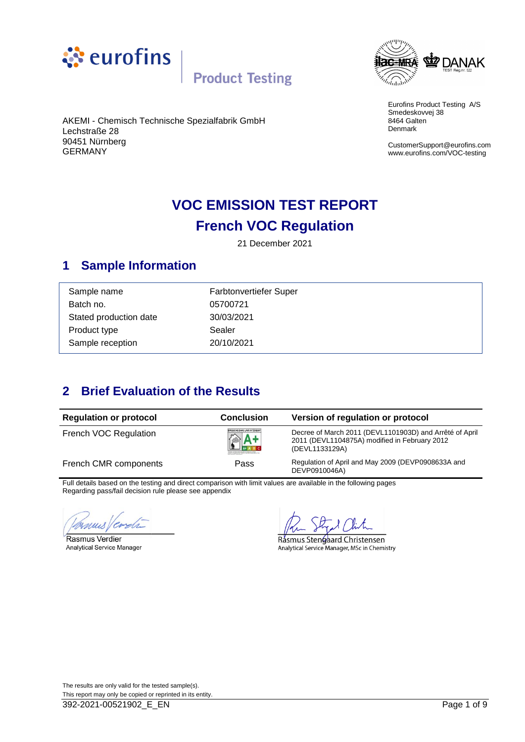



Eurofins Product Testing A/S Smedeskovvej 38 8464 Galten Denmark

CustomerSupport@eurofins.com www.eurofins.com/VOC-testing

#### AKEMI - Chemisch Technische Spezialfabrik GmbH Lechstraße 28 90451 Nürnberg GERMANY

### **VOC EMISSION TEST REPORT French VOC Regulation**

21 December 2021

### <span id="page-0-0"></span>**1 Sample Information**

| Farbtonvertiefer Super |
|------------------------|
| 05700721               |
| 30/03/2021             |
| Sealer                 |
| 20/10/2021             |
|                        |

### <span id="page-0-1"></span>**2 Brief Evaluation of the Results**

| <b>Regulation or protocol</b> | <b>Conclusion</b>             | Version of regulation or protocol                                                                                          |
|-------------------------------|-------------------------------|----------------------------------------------------------------------------------------------------------------------------|
| French VOC Regulation         | ÉMISSIONS DANS L'AIR INTÉRIEU | Decree of March 2011 (DEVL1101903D) and Arrêté of April<br>2011 (DEVL1104875A) modified in February 2012<br>(DEVL1133129A) |
| French CMR components         | Pass                          | Regulation of April and May 2009 (DEVP0908633A and<br>DEVP0910046A)                                                        |

Full details based on the testing and direct comparison with limit values are available in the following pages Regarding pass/fail decision rule please see appendix

ymus ! 'Cs  $\sim$ 

Rasmus Verdier **Analytical Service Manager** 

Rásmus Stengaard Christensen Analytical Service Manager, MSc in Chemistry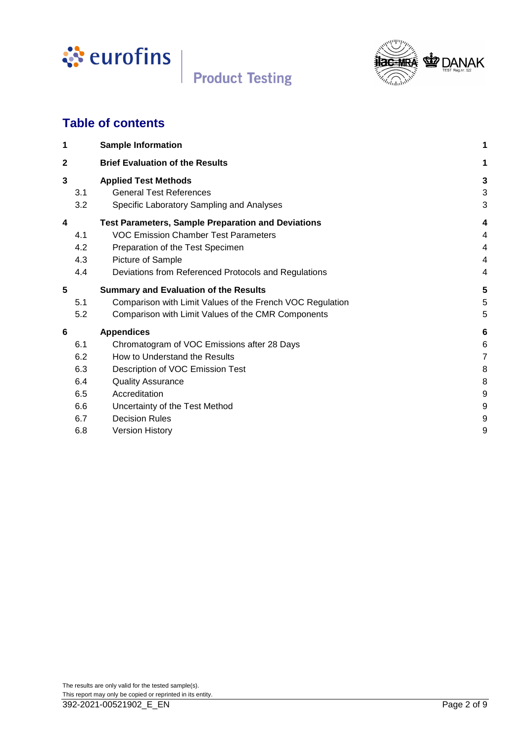



### **Table of contents**

| 1   | <b>Sample Information</b>                                 |   |
|-----|-----------------------------------------------------------|---|
| 2   | <b>Brief Evaluation of the Results</b>                    | 1 |
| 3   | <b>Applied Test Methods</b>                               | 3 |
| 3.1 | <b>General Test References</b>                            | 3 |
| 3.2 | Specific Laboratory Sampling and Analyses                 | 3 |
| 4   | <b>Test Parameters, Sample Preparation and Deviations</b> | 4 |
| 4.1 | <b>VOC Emission Chamber Test Parameters</b>               | 4 |
| 4.2 | Preparation of the Test Specimen                          | 4 |
| 4.3 | Picture of Sample                                         | 4 |
| 4.4 | Deviations from Referenced Protocols and Regulations      | 4 |
| 5   | <b>Summary and Evaluation of the Results</b>              | 5 |
| 5.1 | Comparison with Limit Values of the French VOC Regulation | 5 |
| 5.2 | Comparison with Limit Values of the CMR Components        | 5 |
| 6   | <b>Appendices</b>                                         | 6 |
| 6.1 | Chromatogram of VOC Emissions after 28 Days               | 6 |
| 6.2 | How to Understand the Results                             | 7 |
| 6.3 | Description of VOC Emission Test                          | 8 |
| 6.4 | <b>Quality Assurance</b>                                  | 8 |
| 6.5 | Accreditation                                             | 9 |
| 6.6 | Uncertainty of the Test Method                            | 9 |
| 6.7 | <b>Decision Rules</b>                                     | 9 |
| 6.8 | <b>Version History</b>                                    | 9 |
|     |                                                           |   |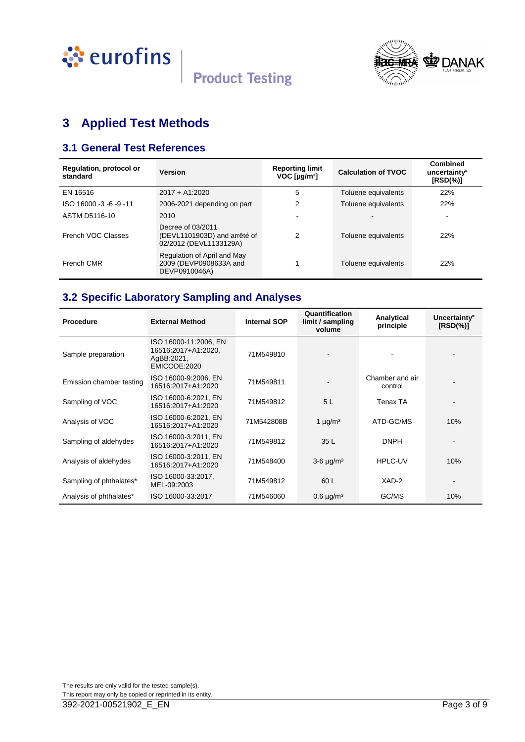



### <span id="page-2-0"></span>**3 Applied Test Methods**

### <span id="page-2-1"></span>**3.1 General Test References**

| Regulation, protocol or<br>standard | <b>Version</b>                                                              | <b>Reporting limit</b><br>$VOC$ [ $\mu$ g/m <sup>3</sup> ] | <b>Calculation of TVOC</b> | <b>Combined</b><br>uncertainty <sup>¤</sup><br>$[RSD(\%)]$ |
|-------------------------------------|-----------------------------------------------------------------------------|------------------------------------------------------------|----------------------------|------------------------------------------------------------|
| EN 16516                            | $2017 + A1:2020$                                                            | 5                                                          | Toluene equivalents        | 22%                                                        |
| ISO 16000 -3 -6 -9 -11              | 2006-2021 depending on part                                                 | 2                                                          | Toluene equivalents        | 22%                                                        |
| ASTM D5116-10                       | 2010                                                                        |                                                            |                            |                                                            |
| French VOC Classes                  | Decree of 03/2011<br>(DEVL1101903D) and arrêté of<br>02/2012 (DEVL1133129A) | 2                                                          | Toluene equivalents        | 22%                                                        |
| French CMR                          | Regulation of April and May<br>2009 (DEVP0908633A and<br>DEVP0910046A)      |                                                            | Toluene equivalents        | 22%                                                        |

### <span id="page-2-2"></span>**3.2 Specific Laboratory Sampling and Analyses**

| Procedure                | <b>External Method</b>                                                     | <b>Internal SOP</b> | Quantification<br>limit / sampling<br>volume | Analytical<br>principle    | Uncertainty <sup>®</sup><br>$[RSD(\%)]$ |
|--------------------------|----------------------------------------------------------------------------|---------------------|----------------------------------------------|----------------------------|-----------------------------------------|
| Sample preparation       | ISO 16000-11:2006, EN<br>16516:2017+A1:2020,<br>AgBB:2021,<br>EMICODE:2020 | 71M549810           |                                              |                            |                                         |
| Emission chamber testing | ISO 16000-9:2006, EN<br>16516:2017+A1:2020                                 | 71M549811           |                                              | Chamber and air<br>control |                                         |
| Sampling of VOC          | ISO 16000-6:2021, EN<br>16516:2017+A1:2020                                 | 71M549812           | 5 <sub>L</sub>                               | Tenax TA                   |                                         |
| Analysis of VOC          | ISO 16000-6:2021, EN<br>16516:2017+A1:2020                                 | 71M542808B          | 1 $\mu$ g/m <sup>3</sup>                     | ATD-GC/MS                  | 10%                                     |
| Sampling of aldehydes    | ISO 16000-3:2011, EN<br>16516:2017+A1:2020                                 | 71M549812           | 35 L                                         | <b>DNPH</b>                |                                         |
| Analysis of aldehydes    | ISO 16000-3:2011, EN<br>16516:2017+A1:2020                                 | 71M548400           | $3-6 \mu g/m^3$                              | <b>HPLC-UV</b>             | 10%                                     |
| Sampling of phthalates*  | ISO 16000-33:2017,<br>MEL-09:2003                                          | 71M549812           | 60 L                                         | XAD-2                      |                                         |
| Analysis of phthalates*  | ISO 16000-33:2017                                                          | 71M546060           | $0.6 \mu g/m3$                               | GC/MS                      | 10%                                     |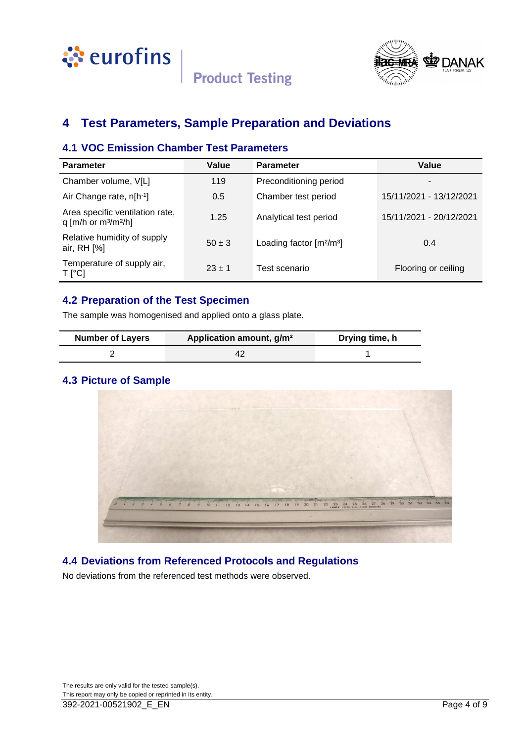



### <span id="page-3-0"></span>**4 Test Parameters, Sample Preparation and Deviations**

### <span id="page-3-1"></span>**4.1 VOC Emission Chamber Test Parameters**

| <b>Parameter</b>                                                                | Value      | <b>Parameter</b>           | Value                   |
|---------------------------------------------------------------------------------|------------|----------------------------|-------------------------|
| Chamber volume, V[L]                                                            | 119        | Preconditioning period     |                         |
| Air Change rate, n[h <sup>-1</sup> ]                                            | 0.5        | Chamber test period        | 15/11/2021 - 13/12/2021 |
| Area specific ventilation rate,<br>q [m/h or m <sup>3</sup> /m <sup>2</sup> /h] | 1.25       | Analytical test period     | 15/11/2021 - 20/12/2021 |
| Relative humidity of supply<br>air, RH [%]                                      | $50 \pm 3$ | Loading factor $[m^2/m^3]$ | 0.4                     |
| Temperature of supply air,<br>T [°C]                                            | $23 \pm 1$ | Test scenario              | Flooring or ceiling     |

### <span id="page-3-2"></span>**4.2 Preparation of the Test Specimen**

The sample was homogenised and applied onto a glass plate.

| <b>Number of Layers</b> | Application amount, g/m <sup>2</sup> | Drying time, h |
|-------------------------|--------------------------------------|----------------|
|                         |                                      |                |

### <span id="page-3-3"></span>**4.3 Picture of Sample**



### <span id="page-3-4"></span>**4.4 Deviations from Referenced Protocols and Regulations**

No deviations from the referenced test methods were observed.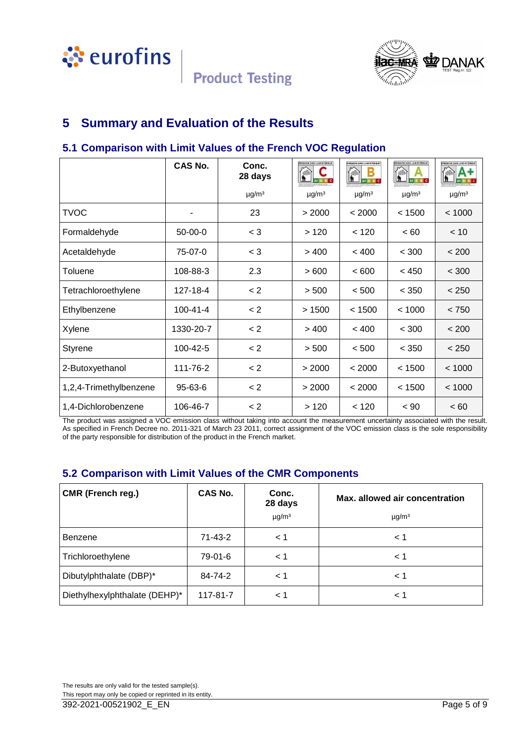



### <span id="page-4-0"></span>**5 Summary and Evaluation of the Results**

### <span id="page-4-1"></span>**5.1 Comparison with Limit Values of the French VOC Regulation**

|                        | <b>CAS No.</b> | Conc.<br>28 days       | <b>ENISSIONS DANS L'AIR INTÉRIEUR</b> | FHISSIONS DANS L'AIR INTÉRIEUR® | MISSIONS DANS L'AIR INTÉRIEURY<br>lħ. | ÉMISSIONS DANS L'AIR INTÉRIEUR |
|------------------------|----------------|------------------------|---------------------------------------|---------------------------------|---------------------------------------|--------------------------------|
|                        |                | $\mu$ g/m <sup>3</sup> | $\mu$ g/m <sup>3</sup>                | $\mu$ g/m <sup>3</sup>          | $\mu$ g/m <sup>3</sup>                | $\mu$ g/m <sup>3</sup>         |
| <b>TVOC</b>            | ٠              | 23                     | > 2000                                | < 2000                          | < 1500                                | < 1000                         |
| Formaldehyde           | $50-00-0$      | $<$ 3                  | >120                                  | < 120                           | < 60                                  | < 10                           |
| Acetaldehyde           | 75-07-0        | $<$ 3                  | >400                                  | < 400                           | < 300                                 | < 200                          |
| Toluene                | 108-88-3       | 2.3                    | >600                                  | < 600                           | < 450                                 | < 300                          |
| Tetrachloroethylene    | 127-18-4       | < 2                    | > 500                                 | < 500                           | < 350                                 | < 250                          |
| Ethylbenzene           | $100 - 41 - 4$ | < 2                    | >1500                                 | < 1500                          | < 1000                                | < 750                          |
| Xylene                 | 1330-20-7      | < 2                    | >400                                  | < 400                           | < 300                                 | < 200                          |
| <b>Styrene</b>         | 100-42-5       | < 2                    | > 500                                 | < 500                           | < 350                                 | < 250                          |
| 2-Butoxyethanol        | 111-76-2       | < 2                    | > 2000                                | < 2000                          | < 1500                                | < 1000                         |
| 1,2,4-Trimethylbenzene | 95-63-6        | < 2                    | > 2000                                | < 2000                          | < 1500                                | < 1000                         |
| 1,4-Dichlorobenzene    | 106-46-7       | < 2                    | >120                                  | < 120                           | $~<$ 90                               | ~< 60                          |

The product was assigned a VOC emission class without taking into account the measurement uncertainty associated with the result. As specified in French Decree no. 2011-321 of March 23 2011, correct assignment of the VOC emission class is the sole responsibility of the party responsible for distribution of the product in the French market.

### <span id="page-4-2"></span>**5.2 Comparison with Limit Values of the CMR Components**

| <b>CMR (French reg.)</b>      | <b>CAS No.</b> | Conc.<br>28 days       | Max. allowed air concentration |
|-------------------------------|----------------|------------------------|--------------------------------|
|                               |                | $\mu$ g/m <sup>3</sup> | $\mu$ g/m <sup>3</sup>         |
| <b>Benzene</b>                | 71-43-2        | < 1                    | $\leq 1$                       |
| Trichloroethylene             | 79-01-6        | $\leq 1$               | $\leq 1$                       |
| Dibutylphthalate (DBP)*       | 84-74-2        | $\leq 1$               | $\leq 1$                       |
| Diethylhexylphthalate (DEHP)* | 117-81-7       | < 1                    | < 1                            |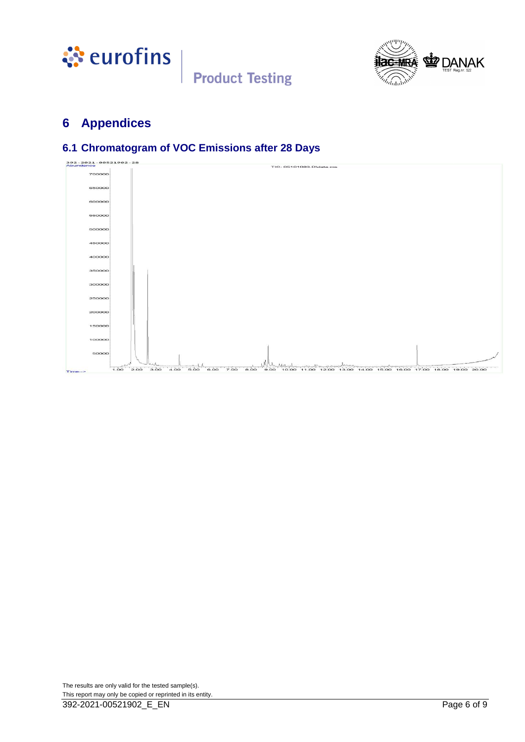



### <span id="page-5-0"></span>**6 Appendices**

### <span id="page-5-1"></span>**6.1 Chromatogram of VOC Emissions after 28 Days**

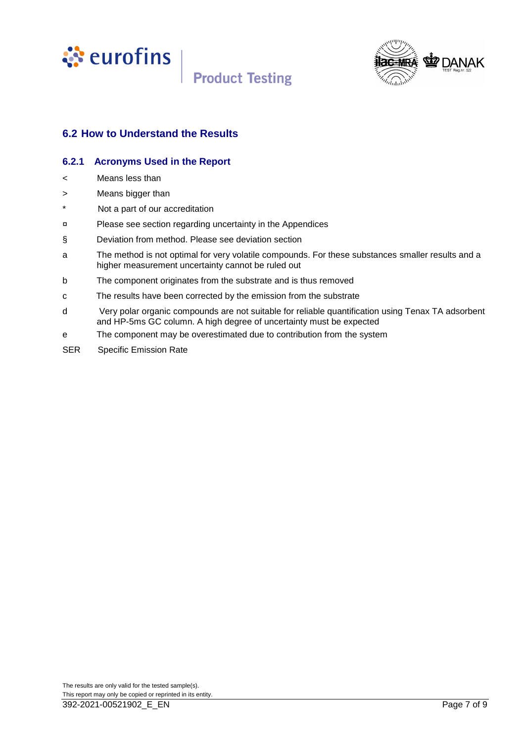



### <span id="page-6-0"></span>**6.2 How to Understand the Results**

#### **6.2.1 Acronyms Used in the Report**

- < Means less than
- > Means bigger than
- \* Not a part of our accreditation
- ¤ Please see section regarding uncertainty in the Appendices
- § Deviation from method. Please see deviation section
- a The method is not optimal for very volatile compounds. For these substances smaller results and a higher measurement uncertainty cannot be ruled out
- b The component originates from the substrate and is thus removed
- c The results have been corrected by the emission from the substrate
- d Very polar organic compounds are not suitable for reliable quantification using Tenax TA adsorbent and HP-5ms GC column. A high degree of uncertainty must be expected
- e The component may be overestimated due to contribution from the system
- SER Specific Emission Rate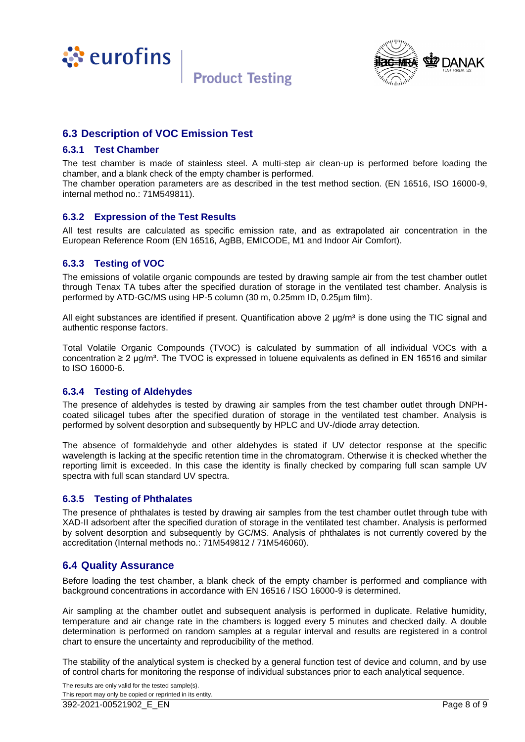



#### <span id="page-7-0"></span>**6.3 Description of VOC Emission Test**

#### **6.3.1 Test Chamber**

The test chamber is made of stainless steel. A multi-step air clean-up is performed before loading the chamber, and a blank check of the empty chamber is performed.

The chamber operation parameters are as described in the test method section. (EN 16516, ISO 16000-9, internal method no.: 71M549811).

#### **6.3.2 Expression of the Test Results**

All test results are calculated as specific emission rate, and as extrapolated air concentration in the European Reference Room (EN 16516, AgBB, EMICODE, M1 and Indoor Air Comfort).

#### **6.3.3 Testing of VOC**

The emissions of volatile organic compounds are tested by drawing sample air from the test chamber outlet through Tenax TA tubes after the specified duration of storage in the ventilated test chamber. Analysis is performed by ATD-GC/MS using HP-5 column (30 m, 0.25mm ID, 0.25µm film).

All eight substances are identified if present. Quantification above 2  $\mu q/m<sup>3</sup>$  is done using the TIC signal and authentic response factors.

Total Volatile Organic Compounds (TVOC) is calculated by summation of all individual VOCs with a concentration  $\geq 2$  µg/m<sup>3</sup>. The TVOC is expressed in toluene equivalents as defined in EN 16516 and similar to ISO 16000-6.

#### **6.3.4 Testing of Aldehydes**

The presence of aldehydes is tested by drawing air samples from the test chamber outlet through DNPHcoated silicagel tubes after the specified duration of storage in the ventilated test chamber. Analysis is performed by solvent desorption and subsequently by HPLC and UV-/diode array detection.

The absence of formaldehyde and other aldehydes is stated if UV detector response at the specific wavelength is lacking at the specific retention time in the chromatogram. Otherwise it is checked whether the reporting limit is exceeded. In this case the identity is finally checked by comparing full scan sample UV spectra with full scan standard UV spectra.

#### **6.3.5 Testing of Phthalates**

The presence of phthalates is tested by drawing air samples from the test chamber outlet through tube with XAD-II adsorbent after the specified duration of storage in the ventilated test chamber. Analysis is performed by solvent desorption and subsequently by GC/MS. Analysis of phthalates is not currently covered by the accreditation (Internal methods no.: 71M549812 / 71M546060).

#### <span id="page-7-1"></span>**6.4 Quality Assurance**

Before loading the test chamber, a blank check of the empty chamber is performed and compliance with background concentrations in accordance with EN 16516 / ISO 16000-9 is determined.

Air sampling at the chamber outlet and subsequent analysis is performed in duplicate. Relative humidity, temperature and air change rate in the chambers is logged every 5 minutes and checked daily. A double determination is performed on random samples at a regular interval and results are registered in a control chart to ensure the uncertainty and reproducibility of the method.

The stability of the analytical system is checked by a general function test of device and column, and by use of control charts for monitoring the response of individual substances prior to each analytical sequence.

The results are only valid for the tested sample(s). This report may only be copied or reprinted in its entity.